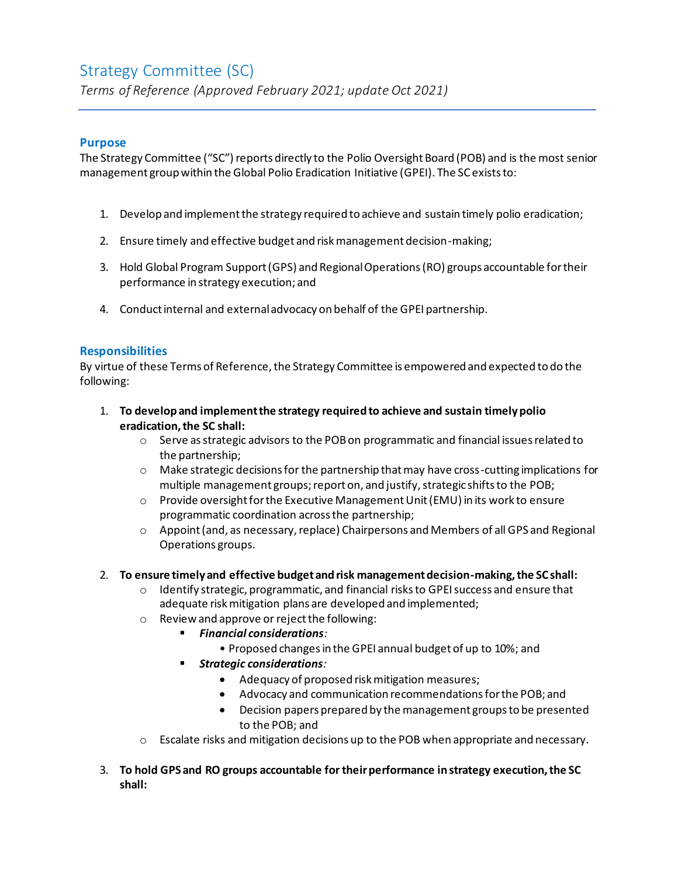# Strategy Committee (SC) *Terms of Reference (Approved February 2021; update Oct 2021)*

#### **Purpose**

The Strategy Committee ("SC") reports directly to the Polio Oversight Board (POB) and is the most senior management group within the Global Polio Eradication Initiative (GPEI). The SC exists to:

- 1. Develop and implement the strategy required to achieve and sustain timely polio eradication;
- 2. Ensure timely and effective budget and risk management decision-making;
- 3. Hold Global Program Support (GPS) and Regional Operations (RO) groups accountable for their performance in strategy execution; and
- 4. Conduct internal and external advocacy on behalf of the GPEI partnership.

### **Responsibilities**

By virtue of these Terms of Reference, the Strategy Committee is empowered and expected to do the following:

- 1. **To develop and implement the strategy required to achieve and sustain timely polio eradication, the SC shall:**
	- $\circ$  Serve as strategic advisors to the POB on programmatic and financial issues related to the partnership;
	- $\circ$  Make strategic decisions for the partnership that may have cross-cutting implications for multiple management groups; report on, and justify, strategic shifts to the POB;
	- $\circ$  Provide oversight for the Executive Management Unit (EMU) in its work to ensure programmatic coordination across the partnership;
	- $\circ$  Appoint (and, as necessary, replace) Chairpersons and Members of all GPS and Regional Operations groups.

#### 2. **To ensure timely and effective budget and risk management decision-making, the SC shall:**

- $\circ$  Identify strategic, programmatic, and financial risks to GPEI success and ensure that adequate risk mitigation plans are developed and implemented;
- o Review and approve or reject the following:
	- *Financial considerations:*
		- Proposed changes in the GPEI annual budget of up to 10%; and
		- *Strategic considerations:*
			- Adequacy of proposed risk mitigation measures;
			- Advocacy and communication recommendations for the POB; and
			- Decision papers prepared by the management groups to be presented to the POB; and
- $\circ$  Escalate risks and mitigation decisions up to the POB when appropriate and necessary.
- 3. **To hold GPS and RO groups accountable for their performance in strategy execution, the SC shall:**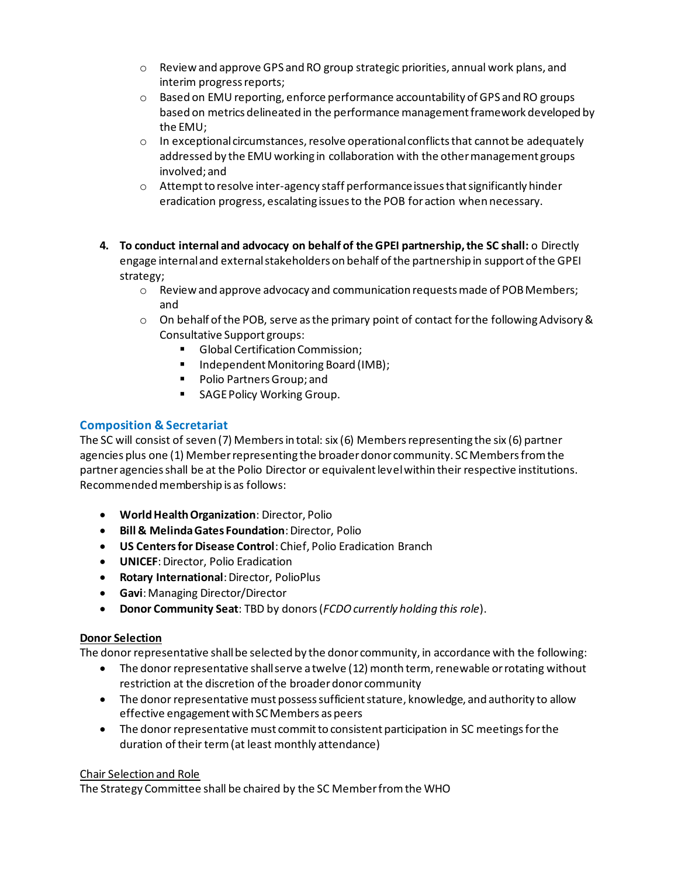- $\circ$  Review and approve GPS and RO group strategic priorities, annual work plans, and interim progress reports;
- o Based on EMU reporting, enforce performance accountability of GPS and RO groups based on metrics delineated in the performance management framework developed by the EMU;
- $\circ$  In exceptional circumstances, resolve operational conflicts that cannot be adequately addressed by the EMU working in collaboration with the other management groups involved; and
- $\circ$  Attempt to resolve inter-agency staff performance issues that significantly hinder eradication progress, escalating issues to the POB for action when necessary.
- **4. To conduct internal and advocacy on behalf of the GPEI partnership, the SC shall:** o Directly engage internal and external stakeholders on behalf of the partnership in support of the GPEI strategy;
	- o Review and approve advocacy and communication requests made of POB Members; and
	- $\circ$  On behalf of the POB, serve as the primary point of contact for the following Advisory & Consultative Support groups:
		- Global Certification Commission;
		- Independent Monitoring Board (IMB);
		- Polio Partners Group; and
		- SAGE Policy Working Group.

# **Composition & Secretariat**

The SC will consist of seven (7) Members in total: six (6) Members representing the six (6) partner agencies plus one (1) Member representing the broader donor community. SC Members from the partner agencies shall be at the Polio Director or equivalent level within their respective institutions. Recommended membership is as follows:

- **World Health Organization**: Director, Polio
- **Bill & Melinda Gates Foundation**: Director, Polio
- **US Centers for Disease Control**: Chief, Polio Eradication Branch
- **UNICEF**: Director, Polio Eradication
- **Rotary International**: Director, PolioPlus
- **Gavi**: Managing Director/Director
- **Donor Community Seat**: TBD by donors (*FCDO currently holding this role*).

# **Donor Selection**

The donor representative shall be selected by the donor community, in accordance with the following:

- The donor representative shall serve a twelve (12) month term, renewable or rotating without restriction at the discretion of the broader donor community
- The donor representative must possess sufficient stature, knowledge, and authority to allow effective engagement with SC Members as peers
- The donor representative must commit to consistent participation in SC meetings for the duration of their term (at least monthly attendance)

# Chair Selection and Role

The Strategy Committee shall be chaired by the SC Member from the WHO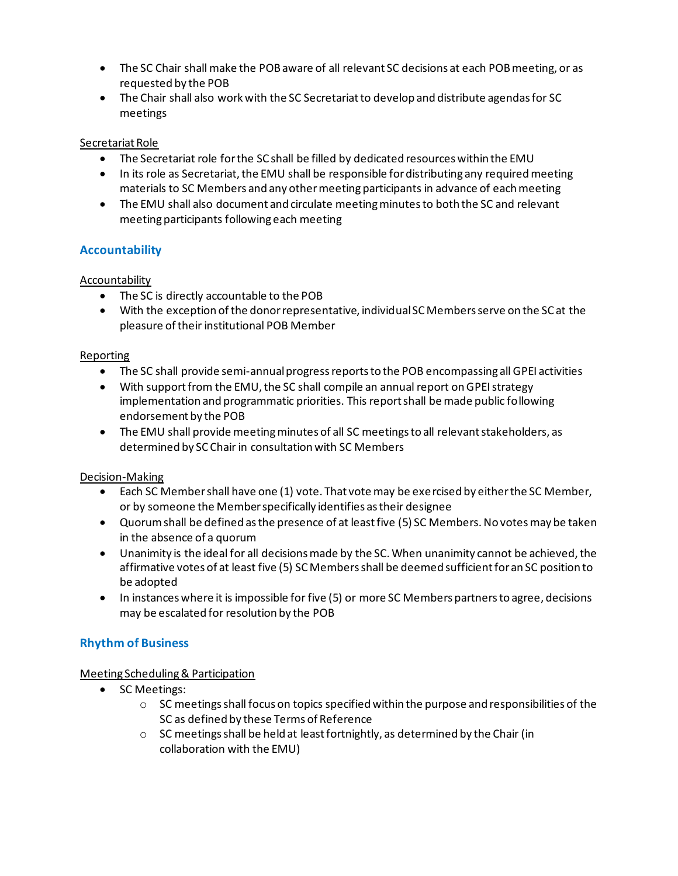- The SC Chair shall make the POB aware of all relevant SC decisions at each POB meeting, or as requested by the POB
- The Chair shall also work with the SC Secretariat to develop and distribute agendas for SC meetings

# Secretariat Role

- The Secretariat role for the SC shall be filled by dedicated resources within the EMU
- In its role as Secretariat, the EMU shall be responsible for distributing any required meeting materials to SC Members and any other meeting participants in advance of each meeting
- The EMU shall also document and circulate meeting minutes to both the SC and relevant meeting participants following each meeting

# **Accountability**

# Accountability

- The SC is directly accountable to the POB
- With the exception of the donor representative, individual SC Members serve on the SC at the pleasure of their institutional POB Member

# Reporting

- The SC shall provide semi-annual progress reports to the POB encompassing all GPEI activities
- With support from the EMU, the SC shall compile an annual report on GPEI strategy implementation and programmatic priorities. This report shall be made public following endorsement by the POB
- The EMU shall provide meeting minutes of all SC meetings to all relevant stakeholders, as determined by SC Chair in consultation with SC Members

# Decision-Making

- Each SC Member shall have one (1) vote. That vote may be exercised by either the SC Member, or by someone the Member specifically identifies as their designee
- Quorum shall be defined as the presence of at least five (5) SC Members. No votes may be taken in the absence of a quorum
- Unanimity is the ideal for all decisions made by the SC. When unanimity cannot be achieved, the affirmative votes of at least five (5) SC Members shall be deemed sufficient for an SC position to be adopted
- In instances where it is impossible for five (5) or more SC Members partners to agree, decisions may be escalated for resolution by the POB

# **Rhythm of Business**

# Meeting Scheduling & Participation

- SC Meetings:
	- $\circ$  SC meetings shall focus on topics specified within the purpose and responsibilities of the SC as defined by these Terms of Reference
	- o SC meetings shall be held at least fortnightly, as determined by the Chair (in collaboration with the EMU)